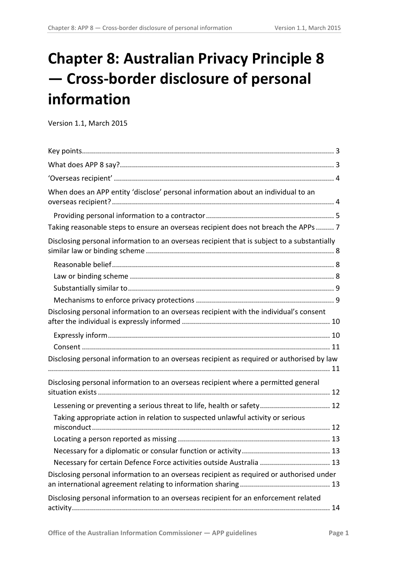# **Chapter 8: Australian Privacy Principle 8 — Cross-border disclosure of personal information**

Version 1.1, March 2015

| When does an APP entity 'disclose' personal information about an individual to an           |
|---------------------------------------------------------------------------------------------|
|                                                                                             |
| Taking reasonable steps to ensure an overseas recipient does not breach the APPs  7         |
| Disclosing personal information to an overseas recipient that is subject to a substantially |
|                                                                                             |
|                                                                                             |
|                                                                                             |
|                                                                                             |
| Disclosing personal information to an overseas recipient with the individual's consent      |
|                                                                                             |
|                                                                                             |
| Disclosing personal information to an overseas recipient as required or authorised by law   |
| Disclosing personal information to an overseas recipient where a permitted general          |
| Lessening or preventing a serious threat to life, health or safety 12                       |
| Taking appropriate action in relation to suspected unlawful activity or serious             |
|                                                                                             |
|                                                                                             |
| Necessary for certain Defence Force activities outside Australia  13                        |
| Disclosing personal information to an overseas recipient as required or authorised under    |
| Disclosing personal information to an overseas recipient for an enforcement related         |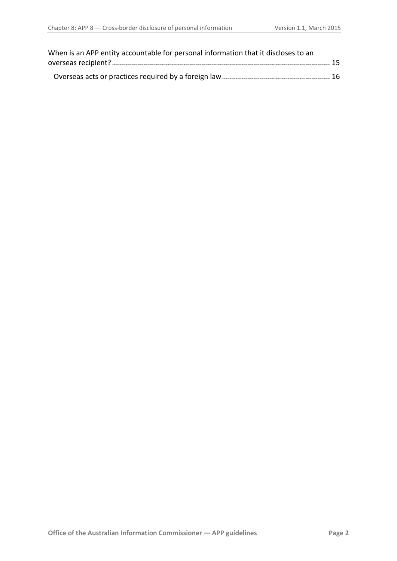| When is an APP entity accountable for personal information that it discloses to an |  |
|------------------------------------------------------------------------------------|--|
|                                                                                    |  |
|                                                                                    |  |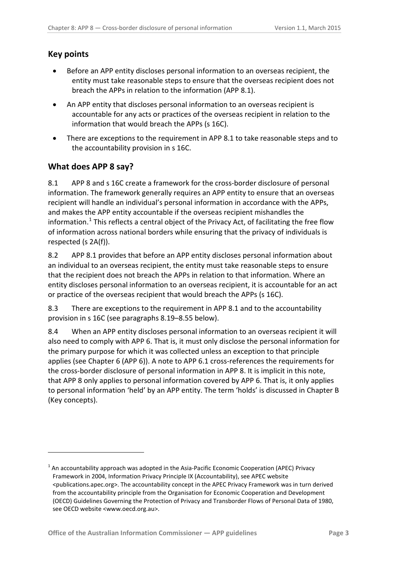# <span id="page-2-0"></span>**Key points**

- Before an APP entity discloses personal information to an overseas recipient, the entity must take reasonable steps to ensure that the overseas recipient does not breach the APPs in relation to the information (APP 8.1).
- An APP entity that discloses personal information to an overseas recipient is accountable for any acts or practices of the overseas recipient in relation to the information that would breach the APPs (s 16C).
- There are exceptions to the requirement in APP 8.1 to take reasonable steps and to the accountability provision in s 16C.

## <span id="page-2-1"></span>**What does APP 8 say?**

-

8.1 APP 8 and s 16C create a framework for the cross-border disclosure of personal information. The framework generally requires an APP entity to ensure that an overseas recipient will handle an individual's personal information in accordance with the APPs, and makes the APP entity accountable if the overseas recipient mishandles the information.<sup>[1](#page-2-2)</sup> This reflects a central object of the Privacy Act, of facilitating the free flow of information across national borders while ensuring that the privacy of individuals is respected (s 2A(f)).

8.2 APP 8.1 provides that before an APP entity discloses personal information about an individual to an overseas recipient, the entity must take reasonable steps to ensure that the recipient does not breach the APPs in relation to that information. Where an entity discloses personal information to an overseas recipient, it is accountable for an act or practice of the overseas recipient that would breach the APPs (s 16C).

8.3 There are exceptions to the requirement in APP 8.1 and to the accountability provision in s 16C (see paragraphs [8.19](#page-7-3)[–8.55](#page-14-1) below).

8.4 When an APP entity discloses personal information to an overseas recipient it will also need to comply with APP 6. That is, it must only disclose the personal information for the primary purpose for which it was collected unless an exception to that principle applies (see Chapter 6 (APP 6)). A note to APP 6.1 cross-references the requirements for the cross-border disclosure of personal information in APP 8. It is implicit in this note, that APP 8 only applies to personal information covered by APP 6. That is, it only applies to personal information 'held' by an APP entity. The term 'holds' is discussed in Chapter B (Key concepts).

<span id="page-2-2"></span> $1$  An accountability approach was adopted in the Asia-Pacific Economic Cooperation (APEC) Privacy Framework in 2004, Information Privacy Principle IX (Accountability), see APEC website <publications.apec.org>. The accountability concept in the APEC Privacy Framework was in turn derived from the accountability principle from the Organisation for Economic Cooperation and Development (OECD) Guidelines Governing the Protection of Privacy and Transborder Flows of Personal Data of 1980, see OECD website <www.oecd.org.au>.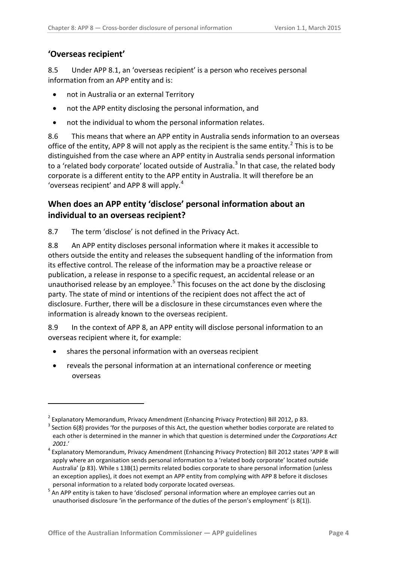# <span id="page-3-0"></span>**'Overseas recipient'**

-

8.5 Under APP 8.1, an 'overseas recipient' is a person who receives personal information from an APP entity and is:

- not in Australia or an external Territory
- not the APP entity disclosing the personal information, and
- not the individual to whom the personal information relates.

8.6 This means that where an APP entity in Australia sends information to an overseas office of the entity, APP 8 will not apply as the recipient is the same entity.<sup>[2](#page-3-2)</sup> This is to be distinguished from the case where an APP entity in Australia sends personal information to a 'related body corporate' located outside of Australia.<sup>[3](#page-3-3)</sup> In that case, the related body corporate is a different entity to the APP entity in Australia. It will therefore be an 'overseas recipient' and APP 8 will apply. $4$ 

# <span id="page-3-1"></span>**When does an APP entity 'disclose' personal information about an individual to an overseas recipient?**

8.7 The term 'disclose' is not defined in the Privacy Act.

8.8 An APP entity discloses personal information where it makes it accessible to others outside the entity and releases the subsequent handling of the information from its effective control. The release of the information may be a proactive release or publication, a release in response to a specific request, an accidental release or an unauthorised release by an employee.<sup>[5](#page-3-5)</sup> This focuses on the act done by the disclosing party. The state of mind or intentions of the recipient does not affect the act of disclosure. Further, there will be a disclosure in these circumstances even where the information is already known to the overseas recipient.

8.9 In the context of APP 8, an APP entity will disclose personal information to an overseas recipient where it, for example:

- shares the personal information with an overseas recipient
- reveals the personal information at an international conference or meeting overseas

<span id="page-3-3"></span><span id="page-3-2"></span><sup>&</sup>lt;sup>2</sup> Explanatory Memorandum, Privacy Amendment (Enhancing Privacy Protection) Bill 2012, p 83.<br><sup>3</sup> Section 6(8) provides 'for the purposes of this Act, the question whether bodies corporate are related to each other is determined in the manner in which that question is determined under the *Corporations Act* 

<span id="page-3-4"></span>*<sup>2001</sup>*.' <sup>4</sup> Explanatory Memorandum, Privacy Amendment (Enhancing Privacy Protection) Bill 2012 states 'APP 8 will apply where an organisation sends personal information to a 'related body corporate' located outside Australia' (p 83). While s 13B(1) permits related bodies corporate to share personal information (unless an exception applies), it does not exempt an APP entity from complying with APP 8 before it discloses

<span id="page-3-5"></span>personal information to a related body corporate located overseas.<br><sup>5</sup> An APP entity is taken to have 'disclosed' personal information where an employee carries out an unauthorised disclosure 'in the performance of the duties of the person's employment' (s 8(1)).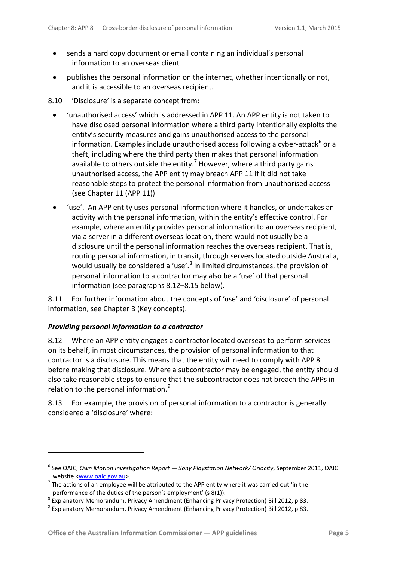- sends a hard copy document or email containing an individual's personal information to an overseas client
- publishes the personal information on the internet, whether intentionally or not, and it is accessible to an overseas recipient.
- 8.10 'Disclosure' is a separate concept from:
	- 'unauthorised access' which is addressed in APP 11. An APP entity is not taken to have disclosed personal information where a third party intentionally exploits the entity's security measures and gains unauthorised access to the personal information. Examples include unauthorised access following a cyber-attack<sup>[6](#page-4-2)</sup> or a theft, including where the third party then makes that personal information available to others outside the entity.<sup>[7](#page-4-3)</sup> However, where a third party gains unauthorised access, the APP entity may breach APP 11 if it did not take reasonable steps to protect the personal information from unauthorised access (see Chapter 11 (APP 11))
	- 'use'. An APP entity uses personal information where it handles, or undertakes an activity with the personal information, within the entity's effective control. For example, where an entity provides personal information to an overseas recipient, via a server in a different overseas location, there would not usually be a disclosure until the personal information reaches the overseas recipient. That is, routing personal information, in transit, through servers located outside Australia, would usually be considered a 'use'.<sup>[8](#page-4-4)</sup> In limited circumstances, the provision of personal information to a contractor may also be a 'use' of that personal information (see paragraphs [8.12](#page-4-1)[–8.15](#page-5-0) below).

8.11 For further information about the concepts of 'use' and 'disclosure' of personal information, see Chapter B (Key concepts).

## <span id="page-4-0"></span>*Providing personal information to a contractor*

-

<span id="page-4-1"></span>8.12 Where an APP entity engages a contractor located overseas to perform services on its behalf, in most circumstances, the provision of personal information to that contractor is a disclosure. This means that the entity will need to comply with APP 8 before making that disclosure. Where a subcontractor may be engaged, the entity should also take reasonable steps to ensure that the subcontractor does not breach the APPs in relation to the personal information.<sup>[9](#page-4-5)</sup>

8.13 For example, the provision of personal information to a contractor is generally considered a 'disclosure' where:

<span id="page-4-2"></span><sup>6</sup> See OAIC, *Own Motion Investigation Report — Sony Playstation Network/ Qriocity*, September 2011, OAIC website  $\frac{www.oaic.gov.au}{s}$ .<br>The actions of an employee will be attributed to the APP entity where it was carried out 'in the

<span id="page-4-5"></span>

<span id="page-4-4"></span><span id="page-4-3"></span>performance of the duties of the person's employment' (s 8(1)).<br>
<sup>8</sup> Explanatory Memorandum, Privacy Amendment (Enhancing Privacy Protection) Bill 2012, p 83.<br>
<sup>9</sup> Explanatory Memorandum, Privacy Amendment (Enhancing Priva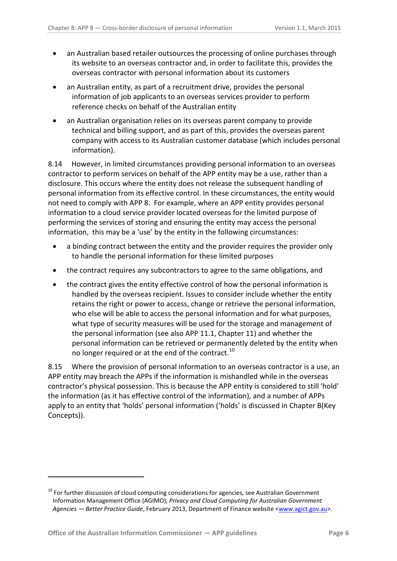- an Australian based retailer outsources the processing of online purchases through its website to an overseas contractor and, in order to facilitate this, provides the overseas contractor with personal information about its customers
- an Australian entity, as part of a recruitment drive, provides the personal information of job applicants to an overseas services provider to perform reference checks on behalf of the Australian entity
- an Australian organisation relies on its overseas parent company to provide technical and billing support, and as part of this, provides the overseas parent company with access to its Australian customer database (which includes personal information).

8.14 However, in limited circumstances providing personal information to an overseas contractor to perform services on behalf of the APP entity may be a use, rather than a disclosure. This occurs where the entity does not release the subsequent handling of personal information from its effective control. In these circumstances, the entity would not need to comply with APP 8. For example, where an APP entity provides personal information to a cloud service provider located overseas for the limited purpose of performing the services of storing and ensuring the entity may access the personal information, this may be a 'use' by the entity in the following circumstances:

- a binding contract between the entity and the provider requires the provider only to handle the personal information for these limited purposes
- the contract requires any subcontractors to agree to the same obligations, and
- the contract gives the entity effective control of how the personal information is handled by the overseas recipient. Issues to consider include whether the entity retains the right or power to access, change or retrieve the personal information, who else will be able to access the personal information and for what purposes, what type of security measures will be used for the storage and management of the personal information (see also APP 11.1, Chapter 11) and whether the personal information can be retrieved or permanently deleted by the entity when no longer required or at the end of the contract.<sup>[10](#page-5-1)</sup>

<span id="page-5-0"></span>8.15 Where the provision of personal information to an overseas contractor is a use, an APP entity may breach the APPs if the information is mishandled while in the overseas contractor's physical possession. This is because the APP entity is considered to still 'hold' the information (as it has effective control of the information), and a number of APPs apply to an entity that 'holds' personal information ('holds' is discussed in Chapter B(Key Concepts)).

<span id="page-5-1"></span> $10$  For further discussion of cloud computing considerations for agencies, see Australian Government Information Management Office (AGIMO), *Privacy and Cloud Computing for Australian Government Agencies — Better Practice Guide*, February 2013, Department of Finance website [<www.agict.gov.au>](http://www.agict.gov.au/).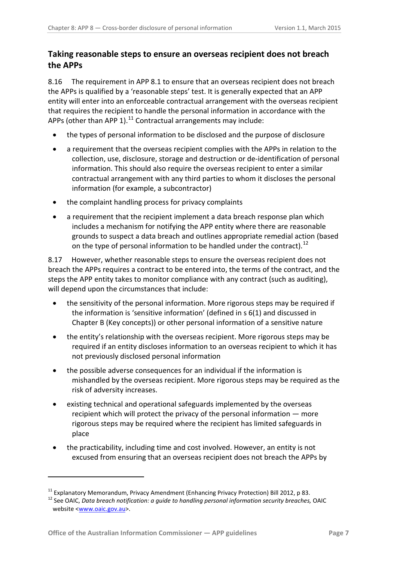# <span id="page-6-0"></span>**Taking reasonable steps to ensure an overseas recipient does not breach the APPs**

<span id="page-6-3"></span>8.16 The requirement in APP 8.1 to ensure that an overseas recipient does not breach the APPs is qualified by a 'reasonable steps' test. It is generally expected that an APP entity will enter into an enforceable contractual arrangement with the overseas recipient that requires the recipient to handle the personal information in accordance with the APPs (other than APP 1). $^{11}$  $^{11}$  $^{11}$  Contractual arrangements may include:

- the types of personal information to be disclosed and the purpose of disclosure
- a requirement that the overseas recipient complies with the APPs in relation to the collection, use, disclosure, storage and destruction or de-identification of personal information. This should also require the overseas recipient to enter a similar contractual arrangement with any third parties to whom it discloses the personal information (for example, a subcontractor)
- the complaint handling process for privacy complaints
- a requirement that the recipient implement a data breach response plan which includes a mechanism for notifying the APP entity where there are reasonable grounds to suspect a data breach and outlines appropriate remedial action (based on the type of personal information to be handled under the contract).<sup>[12](#page-6-2)</sup>

8.17 However, whether reasonable steps to ensure the overseas recipient does not breach the APPs requires a contract to be entered into, the terms of the contract, and the steps the APP entity takes to monitor compliance with any contract (such as auditing), will depend upon the circumstances that include:

- the sensitivity of the personal information. More rigorous steps may be required if the information is 'sensitive information' (defined in s 6(1) and discussed in Chapter B (Key concepts)) or other personal information of a sensitive nature
- the entity's relationship with the overseas recipient. More rigorous steps may be required if an entity discloses information to an overseas recipient to which it has not previously disclosed personal information
- the possible adverse consequences for an individual if the information is mishandled by the overseas recipient. More rigorous steps may be required as the risk of adversity increases.
- existing technical and operational safeguards implemented by the overseas recipient which will protect the privacy of the personal information — more rigorous steps may be required where the recipient has limited safeguards in place
- the practicability, including time and cost involved. However, an entity is not excused from ensuring that an overseas recipient does not breach the APPs by

<span id="page-6-2"></span><span id="page-6-1"></span><sup>&</sup>lt;sup>11</sup> Explanatory Memorandum, Privacy Amendment (Enhancing Privacy Protection) Bill 2012, p 83.<br><sup>12</sup> See OAIC, *Data breach notification: a guide to handling personal information security breaches, OAIC* 

website [<www.oaic.gov.au>](http://www.oaic.gov.au/).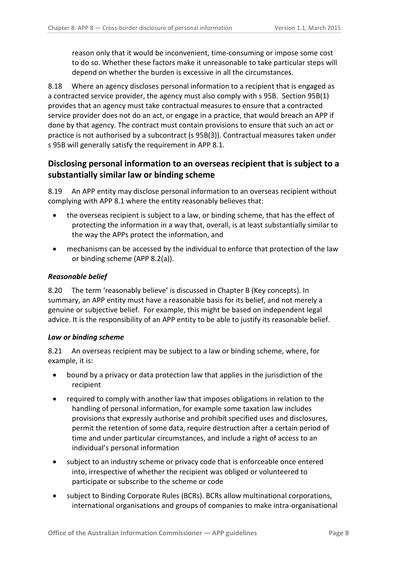reason only that it would be inconvenient, time-consuming or impose some cost to do so. Whether these factors make it unreasonable to take particular steps will depend on whether the burden is excessive in all the circumstances.

<span id="page-7-4"></span>8.18 Where an agency discloses personal information to a recipient that is engaged as a contracted service provider, the agency must also comply with s 95B. Section 95B(1) provides that an agency must take contractual measures to ensure that a contracted service provider does not do an act, or engage in a practice, that would breach an APP if done by that agency. The contract must contain provisions to ensure that such an act or practice is not authorised by a subcontract (s 95B(3)). Contractual measures taken under s 95B will generally satisfy the requirement in APP 8.1.

# <span id="page-7-0"></span>**Disclosing personal information to an overseas recipient that is subject to a substantially similar law or binding scheme**

<span id="page-7-3"></span>8.19 An APP entity may disclose personal information to an overseas recipient without complying with APP 8.1 where the entity reasonably believes that:

- the overseas recipient is subject to a law, or binding scheme, that has the effect of protecting the information in a way that, overall, is at least substantially similar to the way the APPs protect the information, and
- mechanisms can be accessed by the individual to enforce that protection of the law or binding scheme (APP 8.2(a)).

## <span id="page-7-1"></span>*Reasonable belief*

8.20 The term 'reasonably believe' is discussed in Chapter B (Key concepts). In summary, an APP entity must have a reasonable basis for its belief, and not merely a genuine or subjective belief. For example, this might be based on independent legal advice. It is the responsibility of an APP entity to be able to justify its reasonable belief.

## <span id="page-7-2"></span>*Law or binding scheme*

8.21 An overseas recipient may be subject to a law or binding scheme, where, for example, it is:

- bound by a privacy or data protection law that applies in the jurisdiction of the recipient
- required to comply with another law that imposes obligations in relation to the handling of personal information, for example some taxation law includes provisions that expressly authorise and prohibit specified uses and disclosures, permit the retention of some data, require destruction after a certain period of time and under particular circumstances, and include a right of access to an individual's personal information
- subject to an industry scheme or privacy code that is enforceable once entered into, irrespective of whether the recipient was obliged or volunteered to participate or subscribe to the scheme or code
- subject to Binding Corporate Rules (BCRs). BCRs allow multinational corporations, international organisations and groups of companies to make intra-organisational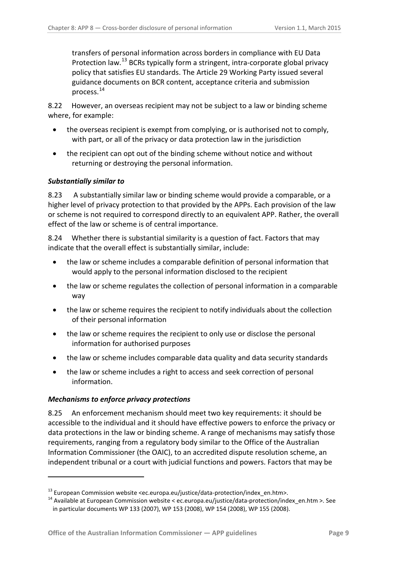transfers of personal information across borders in compliance with EU Data Protection law.<sup>[13](#page-8-2)</sup> BCRs typically form a stringent, intra-corporate global privacy policy that satisfies EU standards. The Article 29 Working Party issued several guidance documents on BCR content, acceptance criteria and submission process.[14](#page-8-3)

8.22 However, an overseas recipient may not be subject to a law or binding scheme where, for example:

- the overseas recipient is exempt from complying, or is authorised not to comply, with part, or all of the privacy or data protection law in the jurisdiction
- the recipient can opt out of the binding scheme without notice and without returning or destroying the personal information.

## <span id="page-8-0"></span>*Substantially similar to*

8.23 A substantially similar law or binding scheme would provide a comparable, or a higher level of privacy protection to that provided by the APPs. Each provision of the law or scheme is not required to correspond directly to an equivalent APP. Rather, the overall effect of the law or scheme is of central importance.

8.24 Whether there is substantial similarity is a question of fact. Factors that may indicate that the overall effect is substantially similar, include:

- the law or scheme includes a comparable definition of personal information that would apply to the personal information disclosed to the recipient
- the law or scheme regulates the collection of personal information in a comparable way
- the law or scheme requires the recipient to notify individuals about the collection of their personal information
- the law or scheme requires the recipient to only use or disclose the personal information for authorised purposes
- the law or scheme includes comparable data quality and data security standards
- the law or scheme includes a right to access and seek correction of personal information.

## <span id="page-8-1"></span>*Mechanisms to enforce privacy protections*

-

8.25 An enforcement mechanism should meet two key requirements: it should be accessible to the individual and it should have effective powers to enforce the privacy or data protections in the law or binding scheme. A range of mechanisms may satisfy those requirements, ranging from a regulatory body similar to the Office of the Australian Information Commissioner (the OAIC), to an accredited dispute resolution scheme, an independent tribunal or a court with judicial functions and powers. Factors that may be

<span id="page-8-3"></span><span id="page-8-2"></span><sup>&</sup>lt;sup>13</sup> European Commission website <ec.europa.eu/justice/data-protection/index\_en.htm>.<br><sup>14</sup> Available at European Commission website < ec.europa.eu/justice/data-protection/index\_en.htm >. See in particular documents WP 133 (2007), WP 153 (2008), WP 154 (2008), WP 155 (2008).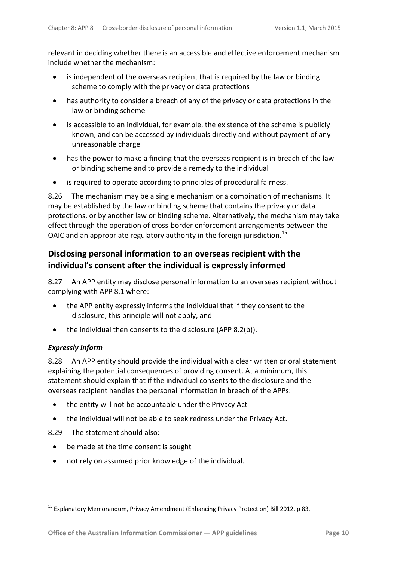relevant in deciding whether there is an accessible and effective enforcement mechanism include whether the mechanism:

- is independent of the overseas recipient that is required by the law or binding scheme to comply with the privacy or data protections
- has authority to consider a breach of any of the privacy or data protections in the law or binding scheme
- is accessible to an individual, for example, the existence of the scheme is publicly known, and can be accessed by individuals directly and without payment of any unreasonable charge
- has the power to make a finding that the overseas recipient is in breach of the law or binding scheme and to provide a remedy to the individual
- is required to operate according to principles of procedural fairness.

8.26 The mechanism may be a single mechanism or a combination of mechanisms. It may be established by the law or binding scheme that contains the privacy or data protections, or by another law or binding scheme. Alternatively, the mechanism may take effect through the operation of cross-border enforcement arrangements between the OAIC and an appropriate regulatory authority in the foreign jurisdiction.<sup>[15](#page-9-2)</sup>

# <span id="page-9-0"></span>**Disclosing personal information to an overseas recipient with the individual's consent after the individual is expressly informed**

8.27 An APP entity may disclose personal information to an overseas recipient without complying with APP 8.1 where:

- the APP entity expressly informs the individual that if they consent to the disclosure, this principle will not apply, and
- the individual then consents to the disclosure (APP 8.2(b)).

## <span id="page-9-1"></span>*Expressly inform*

-

8.28 An APP entity should provide the individual with a clear written or oral statement explaining the potential consequences of providing consent. At a minimum, this statement should explain that if the individual consents to the disclosure and the overseas recipient handles the personal information in breach of the APPs:

- the entity will not be accountable under the Privacy Act
- the individual will not be able to seek redress under the Privacy Act.

8.29 The statement should also:

- be made at the time consent is sought
- not rely on assumed prior knowledge of the individual.

<span id="page-9-2"></span><sup>15</sup> Explanatory Memorandum, Privacy Amendment (Enhancing Privacy Protection) Bill 2012, p 83.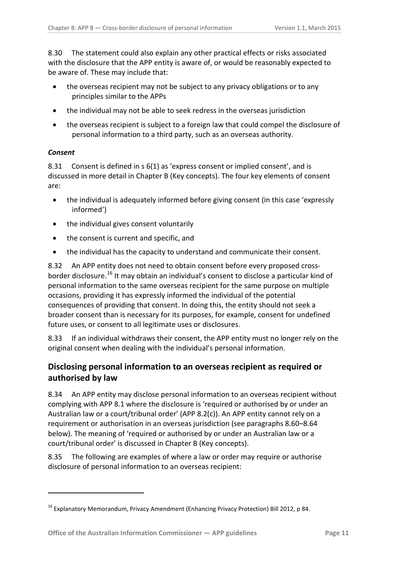8.30 The statement could also explain any other practical effects or risks associated with the disclosure that the APP entity is aware of, or would be reasonably expected to be aware of. These may include that:

- the overseas recipient may not be subject to any privacy obligations or to any principles similar to the APPs
- the individual may not be able to seek redress in the overseas jurisdiction
- the overseas recipient is subject to a foreign law that could compel the disclosure of personal information to a third party, such as an overseas authority.

#### <span id="page-10-0"></span>*Consent*

-

8.31 Consent is defined in s 6(1) as 'express consent or implied consent', and is discussed in more detail in Chapter B (Key concepts). The four key elements of consent are:

- the individual is adequately informed before giving consent (in this case 'expressly informed')
- the individual gives consent voluntarily
- the consent is current and specific, and
- the individual has the capacity to understand and communicate their consent.

8.32 An APP entity does not need to obtain consent before every proposed crossborder disclosure.[16](#page-10-2) It may obtain an individual's consent to disclose a particular kind of personal information to the same overseas recipient for the same purpose on multiple occasions, providing it has expressly informed the individual of the potential consequences of providing that consent. In doing this, the entity should not seek a broader consent than is necessary for its purposes, for example, consent for undefined future uses, or consent to all legitimate uses or disclosures.

8.33 If an individual withdraws their consent, the APP entity must no longer rely on the original consent when dealing with the individual's personal information.

# <span id="page-10-1"></span>**Disclosing personal information to an overseas recipient as required or authorised by law**

8.34 An APP entity may disclose personal information to an overseas recipient without complying with APP 8.1 where the disclosure is 'required or authorised by or under an Australian law or a court/tribunal order' (APP 8.2(c)). An APP entity cannot rely on a requirement or authorisation in an overseas jurisdiction (see paragraphs [8.60](#page-15-1)[–8.64](#page-15-2) below). The meaning of 'required or authorised by or under an Australian law or a court/tribunal order' is discussed in Chapter B (Key concepts).

8.35 The following are examples of where a law or order may require or authorise disclosure of personal information to an overseas recipient:

<span id="page-10-2"></span><sup>16</sup> Explanatory Memorandum, Privacy Amendment (Enhancing Privacy Protection) Bill 2012, p 84.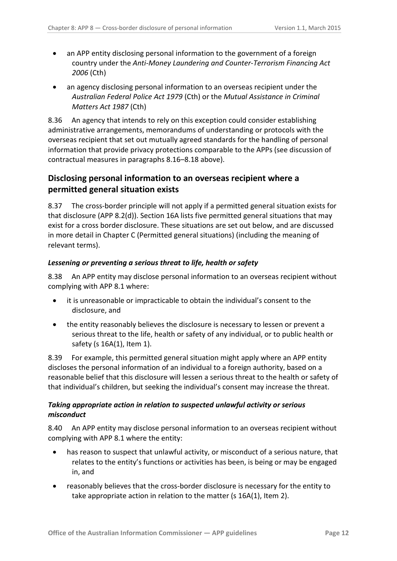- an APP entity disclosing personal information to the government of a foreign country under the *Anti-Money Laundering and Counter-Terrorism Financing Act 2006* (Cth)
- an agency disclosing personal information to an overseas recipient under the *Australian Federal Police Act 1979* (Cth) or the *Mutual Assistance in Criminal Matters Act 1987* (Cth)

8.36 An agency that intends to rely on this exception could consider establishing administrative arrangements, memorandums of understanding or protocols with the overseas recipient that set out mutually agreed standards for the handling of personal information that provide privacy protections comparable to the APPs (see discussion of contractual measures in paragraphs [8.16](#page-6-3)[–8.18](#page-7-4) above).

# <span id="page-11-0"></span>**Disclosing personal information to an overseas recipient where a permitted general situation exists**

8.37 The cross-border principle will not apply if a permitted general situation exists for that disclosure (APP 8.2(d)). Section 16A lists five permitted general situations that may exist for a cross border disclosure. These situations are set out below, and are discussed in more detail in Chapter C (Permitted general situations) (including the meaning of relevant terms).

## <span id="page-11-1"></span>*Lessening or preventing a serious threat to life, health or safety*

8.38 An APP entity may disclose personal information to an overseas recipient without complying with APP 8.1 where:

- it is unreasonable or impracticable to obtain the individual's consent to the disclosure, and
- the entity reasonably believes the disclosure is necessary to lessen or prevent a serious threat to the life, health or safety of any individual, or to public health or safety (s 16A(1), Item 1).

8.39 For example, this permitted general situation might apply where an APP entity discloses the personal information of an individual to a foreign authority, based on a reasonable belief that this disclosure will lessen a serious threat to the health or safety of that individual's children, but seeking the individual's consent may increase the threat.

## <span id="page-11-2"></span>*Taking appropriate action in relation to suspected unlawful activity or serious misconduct*

8.40 An APP entity may disclose personal information to an overseas recipient without complying with APP 8.1 where the entity:

- has reason to suspect that unlawful activity, or misconduct of a serious nature, that relates to the entity's functions or activities has been, is being or may be engaged in, and
- reasonably believes that the cross-border disclosure is necessary for the entity to take appropriate action in relation to the matter (s 16A(1), Item 2).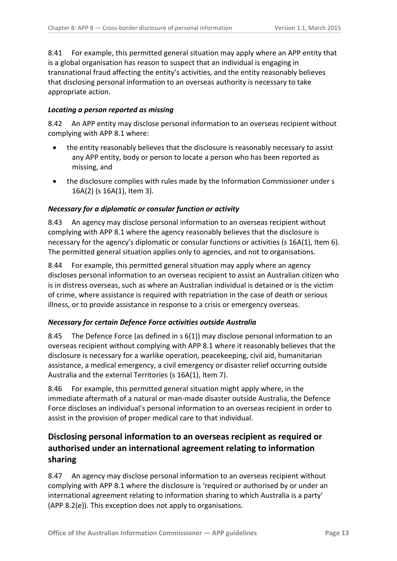8.41 For example, this permitted general situation may apply where an APP entity that is a global organisation has reason to suspect that an individual is engaging in transnational fraud affecting the entity's activities, and the entity reasonably believes that disclosing personal information to an overseas authority is necessary to take appropriate action.

## <span id="page-12-0"></span>*Locating a person reported as missing*

8.42 An APP entity may disclose personal information to an overseas recipient without complying with APP 8.1 where:

- the entity reasonably believes that the disclosure is reasonably necessary to assist any APP entity, body or person to locate a person who has been reported as missing, and
- the disclosure complies with rules made by the Information Commissioner under s 16A(2) (s 16A(1), Item 3).

#### <span id="page-12-1"></span>*Necessary for a diplomatic or consular function or activity*

8.43 An agency may disclose personal information to an overseas recipient without complying with APP 8.1 where the agency reasonably believes that the disclosure is necessary for the agency's diplomatic or consular functions or activities (s 16A(1), Item 6). The permitted general situation applies only to agencies, and not to organisations.

8.44 For example, this permitted general situation may apply where an agency discloses personal information to an overseas recipient to assist an Australian citizen who is in distress overseas, such as where an Australian individual is detained or is the victim of crime, where assistance is required with repatriation in the case of death or serious illness, or to provide assistance in response to a crisis or emergency overseas.

## <span id="page-12-2"></span>*Necessary for certain Defence Force activities outside Australia*

8.45 The Defence Force (as defined in s 6(1)) may disclose personal information to an overseas recipient without complying with APP 8.1 where it reasonably believes that the disclosure is necessary for a warlike operation, peacekeeping, civil aid, humanitarian assistance, a medical emergency, a civil emergency or disaster relief occurring outside Australia and the external Territories (s 16A(1), Item 7).

8.46 For example, this permitted general situation might apply where, in the immediate aftermath of a natural or man-made disaster outside Australia, the Defence Force discloses an individual's personal information to an overseas recipient in order to assist in the provision of proper medical care to that individual.

# <span id="page-12-3"></span>**Disclosing personal information to an overseas recipient as required or authorised under an international agreement relating to information sharing**

8.47 An agency may disclose personal information to an overseas recipient without complying with APP 8.1 where the disclosure is 'required or authorised by or under an international agreement relating to information sharing to which Australia is a party' (APP 8.2(e)). This exception does not apply to organisations.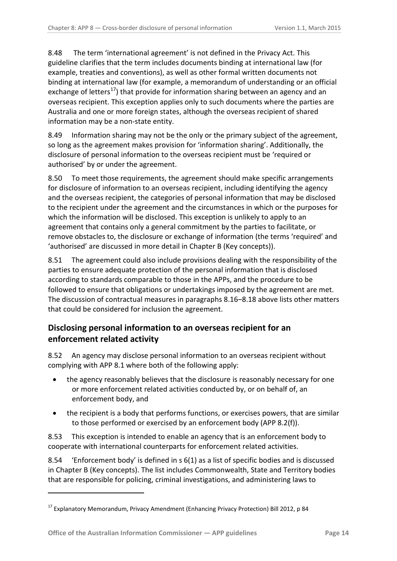8.48 The term 'international agreement' is not defined in the Privacy Act. This guideline clarifies that the term includes documents binding at international law (for example, treaties and conventions), as well as other formal written documents not binding at international law (for example, a memorandum of understanding or an official exchange of letters<sup>17</sup>) that provide for information sharing between an agency and an overseas recipient. This exception applies only to such documents where the parties are Australia and one or more foreign states, although the overseas recipient of shared information may be a non-state entity.

8.49 Information sharing may not be the only or the primary subject of the agreement, so long as the agreement makes provision for 'information sharing'. Additionally, the disclosure of personal information to the overseas recipient must be 'required or authorised' by or under the agreement.

8.50 To meet those requirements, the agreement should make specific arrangements for disclosure of information to an overseas recipient, including identifying the agency and the overseas recipient, the categories of personal information that may be disclosed to the recipient under the agreement and the circumstances in which or the purposes for which the information will be disclosed. This exception is unlikely to apply to an agreement that contains only a general commitment by the parties to facilitate, or remove obstacles to, the disclosure or exchange of information (the terms 'required' and 'authorised' are discussed in more detail in Chapter B (Key concepts)).

8.51 The agreement could also include provisions dealing with the responsibility of the parties to ensure adequate protection of the personal information that is disclosed according to standards comparable to those in the APPs, and the procedure to be followed to ensure that obligations or undertakings imposed by the agreement are met. The discussion of contractual measures in paragraphs 8.16–8.18 above lists other matters that could be considered for inclusion the agreement.

# <span id="page-13-0"></span>**Disclosing personal information to an overseas recipient for an enforcement related activity**

8.52 An agency may disclose personal information to an overseas recipient without complying with APP 8.1 where both of the following apply:

- the agency reasonably believes that the disclosure is reasonably necessary for one or more enforcement related activities conducted by, or on behalf of, an enforcement body, and
- the recipient is a body that performs functions, or exercises powers, that are similar to those performed or exercised by an enforcement body (APP 8.2(f)).

8.53 This exception is intended to enable an agency that is an enforcement body to cooperate with international counterparts for enforcement related activities.

8.54 'Enforcement body' is defined in s 6(1) as a list of specific bodies and is discussed in Chapter B (Key concepts). The list includes Commonwealth, State and Territory bodies that are responsible for policing, criminal investigations, and administering laws to

<span id="page-13-1"></span><sup>17</sup> Explanatory Memorandum, Privacy Amendment (Enhancing Privacy Protection) Bill 2012, p 84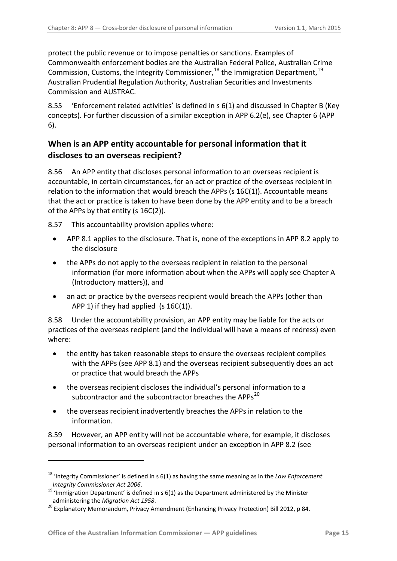protect the public revenue or to impose penalties or sanctions. Examples of Commonwealth enforcement bodies are the Australian Federal Police, Australian Crime Commission, Customs, the Integrity Commissioner,  $^{18}$  $^{18}$  $^{18}$  the Immigration Department,  $^{19}$  $^{19}$  $^{19}$ Australian Prudential Regulation Authority, Australian Securities and Investments Commission and AUSTRAC.

<span id="page-14-1"></span>8.55 'Enforcement related activities' is defined in s 6(1) and discussed in Chapter B (Key concepts). For further discussion of a similar exception in APP 6.2(e), see Chapter 6 (APP 6).

# <span id="page-14-0"></span>**When is an APP entity accountable for personal information that it discloses to an overseas recipient?**

8.56 An APP entity that discloses personal information to an overseas recipient is accountable, in certain circumstances, for an act or practice of the overseas recipient in relation to the information that would breach the APPs (s 16C(1)). Accountable means that the act or practice is taken to have been done by the APP entity and to be a breach of the APPs by that entity (s 16C(2)).

8.57 This accountability provision applies where:

- APP 8.1 applies to the disclosure. That is, none of the exceptions in APP 8.2 apply to the disclosure
- the APPs do not apply to the overseas recipient in relation to the personal information (for more information about when the APPs will apply see Chapter A (Introductory matters)), and
- an act or practice by the overseas recipient would breach the APPs (other than APP 1) if they had applied (s  $16C(1)$ ).

8.58 Under the accountability provision, an APP entity may be liable for the acts or practices of the overseas recipient (and the individual will have a means of redress) even where:

- the entity has taken reasonable steps to ensure the overseas recipient complies with the APPs (see APP 8.1) and the overseas recipient subsequently does an act or practice that would breach the APPs
- the overseas recipient discloses the individual's personal information to a subcontractor and the subcontractor breaches the APPs<sup>[20](#page-14-4)</sup>
- the overseas recipient inadvertently breaches the APPs in relation to the information.

8.59 However, an APP entity will not be accountable where, for example, it discloses personal information to an overseas recipient under an exception in APP 8.2 (see

<span id="page-14-2"></span><sup>18</sup> 'Integrity Commissioner' is defined in s 6(1) as having the same meaning as in the *Law Enforcement* 

<span id="page-14-3"></span>*Integrity Commissioner Act 2006.*<br><sup>19</sup> 'Immigration Department' is defined in s 6(1) as the Department administered by the Minister<br>administering the *Migration Act 1958*.

<span id="page-14-4"></span><sup>&</sup>lt;sup>20</sup> Explanatory Memorandum, Privacy Amendment (Enhancing Privacy Protection) Bill 2012, p 84.